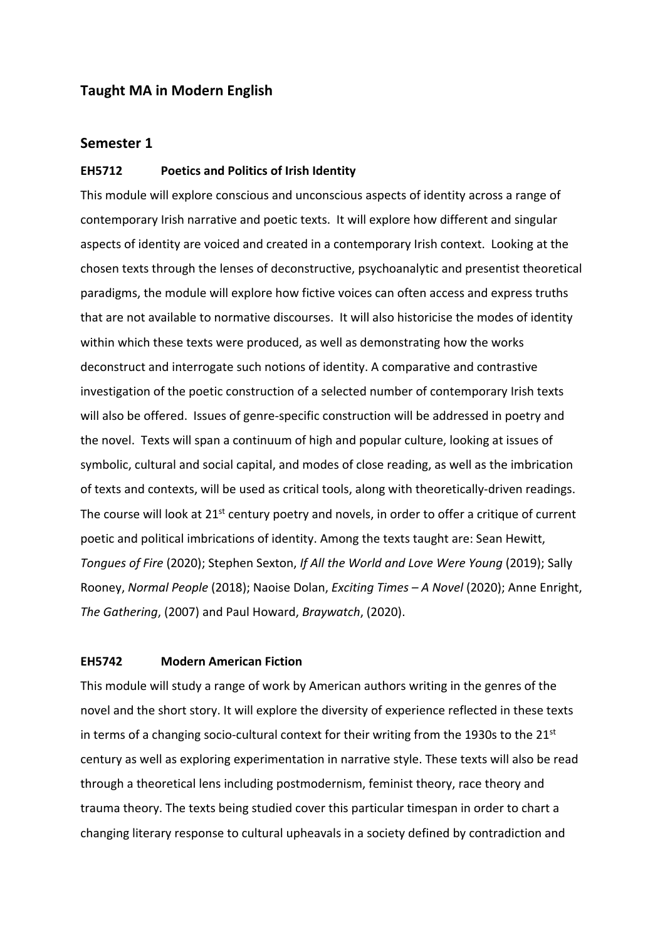# **Taught MA in Modern English**

### **Semester 1**

## **EH5712 Poetics and Politics of Irish Identity**

This module will explore conscious and unconscious aspects of identity across a range of contemporary Irish narrative and poetic texts. It will explore how different and singular aspects of identity are voiced and created in a contemporary Irish context. Looking at the chosen texts through the lenses of deconstructive, psychoanalytic and presentist theoretical paradigms, the module will explore how fictive voices can often access and express truths that are not available to normative discourses. It will also historicise the modes of identity within which these texts were produced, as well as demonstrating how the works deconstruct and interrogate such notions of identity. A comparative and contrastive investigation of the poetic construction of a selected number of contemporary Irish texts will also be offered. Issues of genre-specific construction will be addressed in poetry and the novel. Texts will span a continuum of high and popular culture, looking at issues of symbolic, cultural and social capital, and modes of close reading, as well as the imbrication of texts and contexts, will be used as critical tools, along with theoretically-driven readings. The course will look at  $21^{st}$  century poetry and novels, in order to offer a critique of current poetic and political imbrications of identity. Among the texts taught are: Sean Hewitt, *Tongues of Fire* (2020); Stephen Sexton, *If All the World and Love Were Young* (2019); Sally Rooney, *Normal People* (2018); Naoise Dolan, *Exciting Times – A Novel* (2020); Anne Enright, *The Gathering*, (2007) and Paul Howard, *Braywatch*, (2020).

#### **EH5742 Modern American Fiction**

This module will study a range of work by American authors writing in the genres of the novel and the short story. It will explore the diversity of experience reflected in these texts in terms of a changing socio-cultural context for their writing from the 1930s to the  $21<sup>st</sup>$ century as well as exploring experimentation in narrative style. These texts will also be read through a theoretical lens including postmodernism, feminist theory, race theory and trauma theory. The texts being studied cover this particular timespan in order to chart a changing literary response to cultural upheavals in a society defined by contradiction and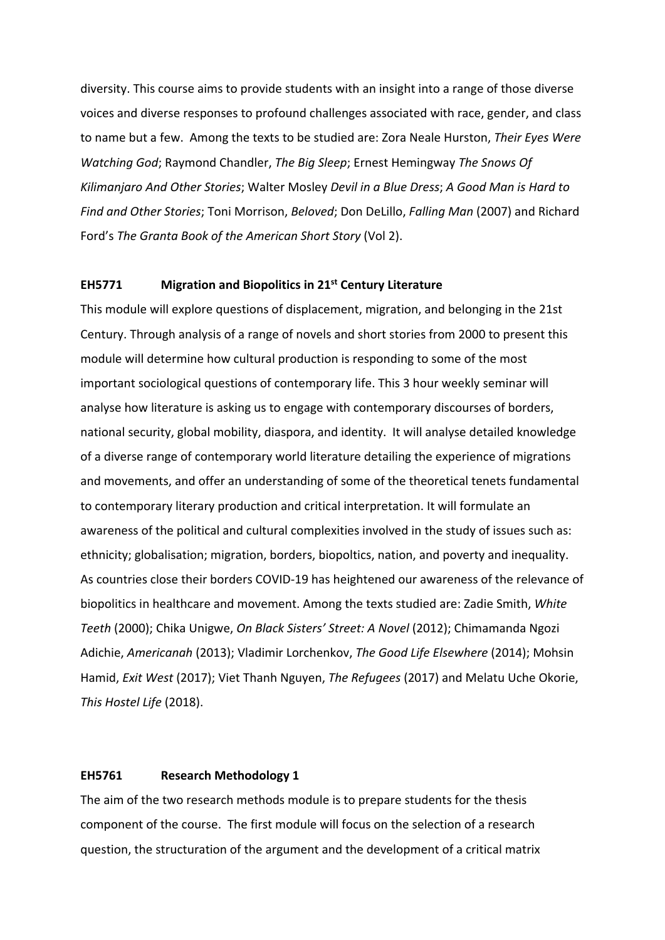diversity. This course aims to provide students with an insight into a range of those diverse voices and diverse responses to profound challenges associated with race, gender, and class to name but a few. Among the texts to be studied are: Zora Neale Hurston, *Their Eyes Were Watching God*; Raymond Chandler, *The Big Sleep*; Ernest Hemingway *The Snows Of Kilimanjaro And Other Stories*; Walter Mosley *Devil in a Blue Dress*; *A Good Man is Hard to Find and Other Stories*; Toni Morrison, *Beloved*; Don DeLillo, *Falling Man* (2007) and Richard Ford's *The Granta Book of the American Short Story* (Vol 2).

# **EH5771 Migration and Biopolitics in 21st Century Literature**

This module will explore questions of displacement, migration, and belonging in the 21st Century. Through analysis of a range of novels and short stories from 2000 to present this module will determine how cultural production is responding to some of the most important sociological questions of contemporary life. This 3 hour weekly seminar will analyse how literature is asking us to engage with contemporary discourses of borders, national security, global mobility, diaspora, and identity. It will analyse detailed knowledge of a diverse range of contemporary world literature detailing the experience of migrations and movements, and offer an understanding of some of the theoretical tenets fundamental to contemporary literary production and critical interpretation. It will formulate an awareness of the political and cultural complexities involved in the study of issues such as: ethnicity; globalisation; migration, borders, biopoltics, nation, and poverty and inequality. As countries close their borders COVID-19 has heightened our awareness of the relevance of biopolitics in healthcare and movement. Among the texts studied are: Zadie Smith, *White Teeth* (2000); Chika Unigwe, *On Black Sisters' Street: A Novel* (2012); Chimamanda Ngozi Adichie, *Americanah* (2013); Vladimir Lorchenkov, *The Good Life Elsewhere* (2014); Mohsin Hamid, *Exit West* (2017); Viet Thanh Nguyen, *The Refugees* (2017) and Melatu Uche Okorie, *This Hostel Life* (2018).

# **EH5761 Research Methodology 1**

The aim of the two research methods module is to prepare students for the thesis component of the course. The first module will focus on the selection of a research question, the structuration of the argument and the development of a critical matrix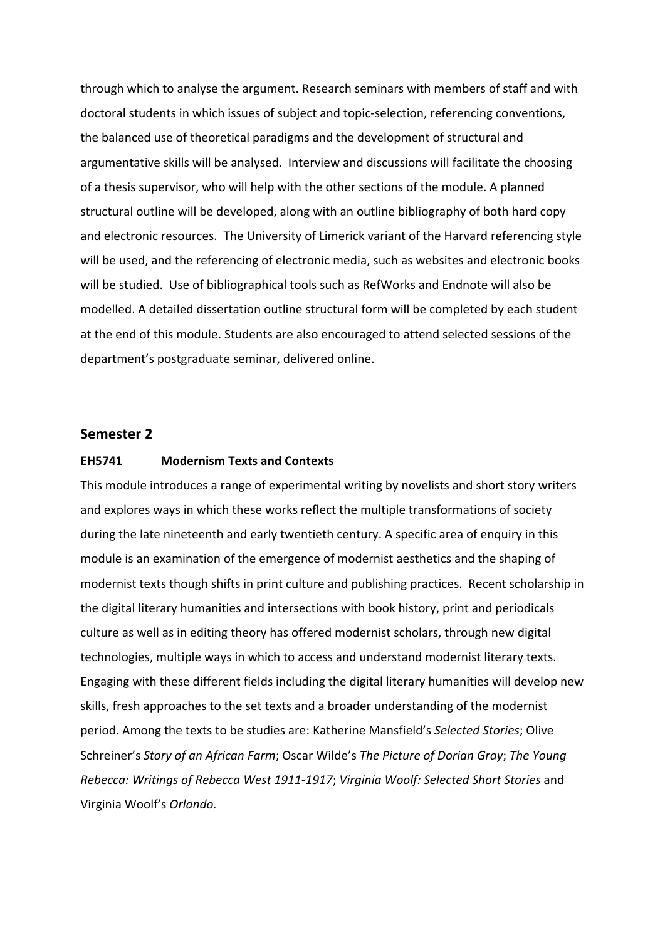through which to analyse the argument. Research seminars with members of staff and with doctoral students in which issues of subject and topic-selection, referencing conventions, the balanced use of theoretical paradigms and the development of structural and argumentative skills will be analysed. Interview and discussions will facilitate the choosing of a thesis supervisor, who will help with the other sections of the module. A planned structural outline will be developed, along with an outline bibliography of both hard copy and electronic resources. The University of Limerick variant of the Harvard referencing style will be used, and the referencing of electronic media, such as websites and electronic books will be studied. Use of bibliographical tools such as RefWorks and Endnote will also be modelled. A detailed dissertation outline structural form will be completed by each student at the end of this module. Students are also encouraged to attend selected sessions of the department's postgraduate seminar, delivered online.

# **Semester 2**

### **EH5741 Modernism Texts and Contexts**

This module introduces a range of experimental writing by novelists and short story writers and explores ways in which these works reflect the multiple transformations of society during the late nineteenth and early twentieth century. A specific area of enquiry in this module is an examination of the emergence of modernist aesthetics and the shaping of modernist texts though shifts in print culture and publishing practices. Recent scholarship in the digital literary humanities and intersections with book history, print and periodicals culture as well as in editing theory has offered modernist scholars, through new digital technologies, multiple ways in which to access and understand modernist literary texts. Engaging with these different fields including the digital literary humanities will develop new skills, fresh approaches to the set texts and a broader understanding of the modernist period. Among the texts to be studies are: Katherine Mansfield's *Selected Stories*; Olive Schreiner's *Story of an African Farm*; Oscar Wilde's *The Picture of Dorian Gray*; *The Young Rebecca: Writings of Rebecca West 1911-1917*; *Virginia Woolf: Selected Short Stories* and Virginia Woolf's *Orlando.*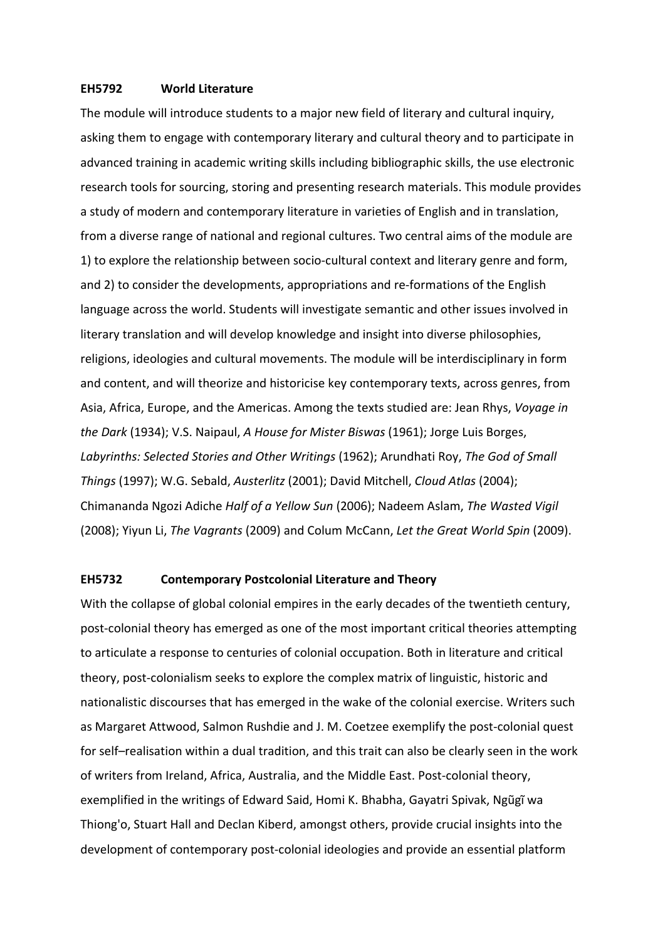### **EH5792 World Literature**

The module will introduce students to a major new field of literary and cultural inquiry, asking them to engage with contemporary literary and cultural theory and to participate in advanced training in academic writing skills including bibliographic skills, the use electronic research tools for sourcing, storing and presenting research materials. This module provides a study of modern and contemporary literature in varieties of English and in translation, from a diverse range of national and regional cultures. Two central aims of the module are 1) to explore the relationship between socio-cultural context and literary genre and form, and 2) to consider the developments, appropriations and re-formations of the English language across the world. Students will investigate semantic and other issues involved in literary translation and will develop knowledge and insight into diverse philosophies, religions, ideologies and cultural movements. The module will be interdisciplinary in form and content, and will theorize and historicise key contemporary texts, across genres, from Asia, Africa, Europe, and the Americas. Among the texts studied are: Jean Rhys, *Voyage in the Dark* (1934); V.S. Naipaul, *A House for Mister Biswas* (1961); Jorge Luis Borges, *Labyrinths: Selected Stories and Other Writings* (1962); Arundhati Roy, *The God of Small Things* (1997); W.G. Sebald, *Austerlitz* (2001); David Mitchell, *Cloud Atlas* (2004); Chimananda Ngozi Adiche *Half of a Yellow Sun* (2006); Nadeem Aslam, *The Wasted Vigil* (2008); Yiyun Li, *The Vagrants* (2009) and Colum McCann, *Let the Great World Spin* (2009).

# **EH5732 Contemporary Postcolonial Literature and Theory**

With the collapse of global colonial empires in the early decades of the twentieth century, post-colonial theory has emerged as one of the most important critical theories attempting to articulate a response to centuries of colonial occupation. Both in literature and critical theory, post-colonialism seeks to explore the complex matrix of linguistic, historic and nationalistic discourses that has emerged in the wake of the colonial exercise. Writers such as Margaret Attwood, Salmon Rushdie and J. M. Coetzee exemplify the post-colonial quest for self–realisation within a dual tradition, and this trait can also be clearly seen in the work of writers from Ireland, Africa, Australia, and the Middle East. Post-colonial theory, exemplified in the writings of Edward Said, Homi K. Bhabha, Gayatri Spivak, Ngũgĩ wa Thiong'o, Stuart Hall and Declan Kiberd, amongst others, provide crucial insights into the development of contemporary post-colonial ideologies and provide an essential platform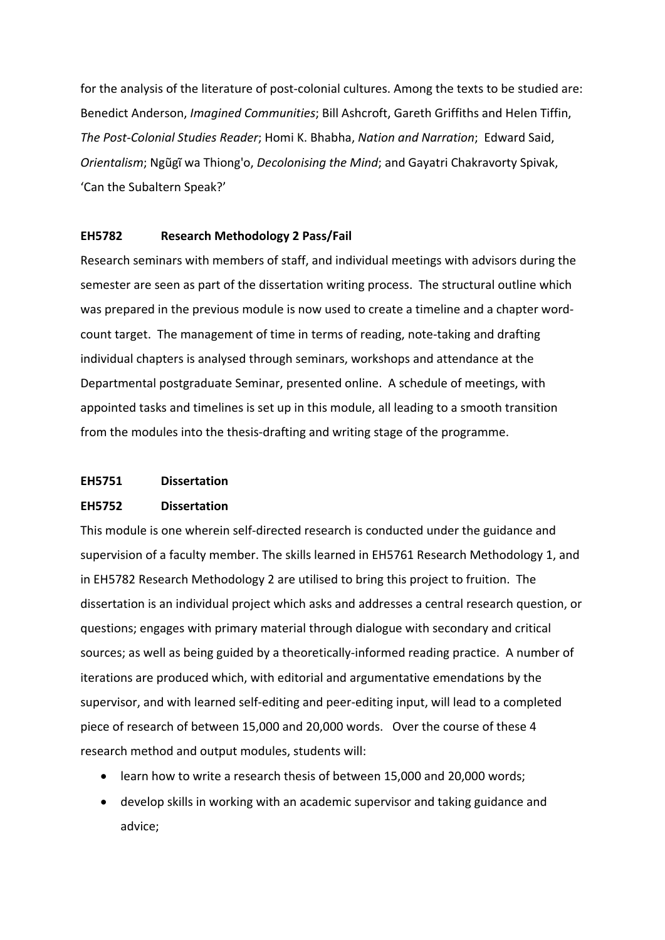for the analysis of the literature of post-colonial cultures. Among the texts to be studied are: Benedict Anderson, *Imagined Communities*; Bill Ashcroft, Gareth Griffiths and Helen Tiffin, *The Post-Colonial Studies Reader*; Homi K. Bhabha, *Nation and Narration*; Edward Said, *Orientalism*; Ngũgĩ wa Thiong'o, *Decolonising the Mind*; and Gayatri Chakravorty Spivak, 'Can the Subaltern Speak?'

#### **EH5782 Research Methodology 2 Pass/Fail**

Research seminars with members of staff, and individual meetings with advisors during the semester are seen as part of the dissertation writing process. The structural outline which was prepared in the previous module is now used to create a timeline and a chapter wordcount target. The management of time in terms of reading, note-taking and drafting individual chapters is analysed through seminars, workshops and attendance at the Departmental postgraduate Seminar, presented online. A schedule of meetings, with appointed tasks and timelines is set up in this module, all leading to a smooth transition from the modules into the thesis-drafting and writing stage of the programme.

#### **EH5751 Dissertation**

#### **EH5752 Dissertation**

This module is one wherein self-directed research is conducted under the guidance and supervision of a faculty member. The skills learned in EH5761 Research Methodology 1, and in EH5782 Research Methodology 2 are utilised to bring this project to fruition. The dissertation is an individual project which asks and addresses a central research question, or questions; engages with primary material through dialogue with secondary and critical sources; as well as being guided by a theoretically-informed reading practice. A number of iterations are produced which, with editorial and argumentative emendations by the supervisor, and with learned self-editing and peer-editing input, will lead to a completed piece of research of between 15,000 and 20,000 words. Over the course of these 4 research method and output modules, students will:

- learn how to write a research thesis of between 15,000 and 20,000 words;
- develop skills in working with an academic supervisor and taking guidance and advice;